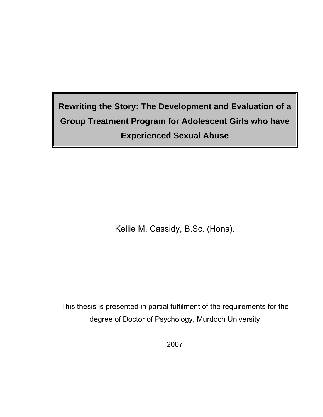# **Rewriting the Story: The Development and Evaluation of a Group Treatment Program for Adolescent Girls who have Experienced Sexual Abuse**

Kellie M. Cassidy, B.Sc. (Hons).

This thesis is presented in partial fulfilment of the requirements for the degree of Doctor of Psychology, Murdoch University

2007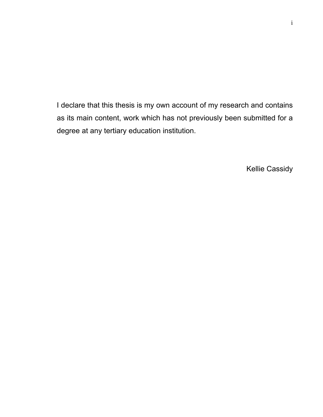I declare that this thesis is my own account of my research and contains as its main content, work which has not previously been submitted for a degree at any tertiary education institution.

Kellie Cassidy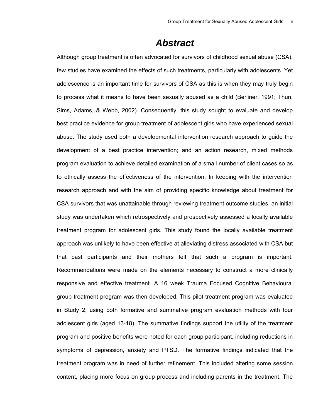### *Abstract*

Although group treatment is often advocated for survivors of childhood sexual abuse (CSA), few studies have examined the effects of such treatments, particularly with adolescents. Yet adolescence is an important time for survivors of CSA as this is when they may truly begin to process what it means to have been sexually abused as a child (Berliner, 1991; Thun, Sims, Adams, & Webb, 2002). Consequently, this study sought to evaluate and develop best practice evidence for group treatment of adolescent girls who have experienced sexual abuse. The study used both a developmental intervention research approach to guide the development of a best practice intervention; and an action research, mixed methods program evaluation to achieve detailed examination of a small number of client cases so as to ethically assess the effectiveness of the intervention. In keeping with the intervention research approach and with the aim of providing specific knowledge about treatment for CSA survivors that was unattainable through reviewing treatment outcome studies, an initial study was undertaken which retrospectively and prospectively assessed a locally available treatment program for adolescent girls. This study found the locally available treatment approach was unlikely to have been effective at alleviating distress associated with CSA but that past participants and their mothers felt that such a program is important. Recommendations were made on the elements necessary to construct a more clinically responsive and effective treatment. A 16 week Trauma Focused Cognitive Behavioural group treatment program was then developed. This pilot treatment program was evaluated in Study 2, using both formative and summative program evaluation methods with four adolescent girls (aged 13-18). The summative findings support the utility of the treatment program and positive benefits were noted for each group participant, including reductions in symptoms of depression, anxiety and PTSD. The formative findings indicated that the treatment program was in need of further refinement. This included altering some session content, placing more focus on group process and including parents in the treatment. The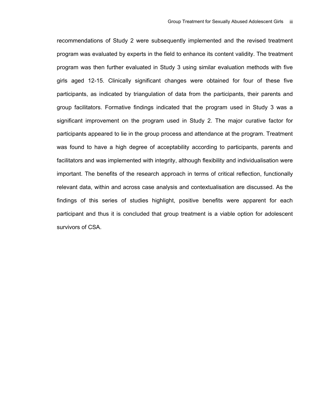recommendations of Study 2 were subsequently implemented and the revised treatment program was evaluated by experts in the field to enhance its content validity. The treatment program was then further evaluated in Study 3 using similar evaluation methods with five girls aged 12-15. Clinically significant changes were obtained for four of these five participants, as indicated by triangulation of data from the participants, their parents and group facilitators. Formative findings indicated that the program used in Study 3 was a significant improvement on the program used in Study 2. The major curative factor for participants appeared to lie in the group process and attendance at the program. Treatment was found to have a high degree of acceptability according to participants, parents and facilitators and was implemented with integrity, although flexibility and individualisation were important. The benefits of the research approach in terms of critical reflection, functionally relevant data, within and across case analysis and contextualisation are discussed. As the findings of this series of studies highlight, positive benefits were apparent for each participant and thus it is concluded that group treatment is a viable option for adolescent survivors of CSA.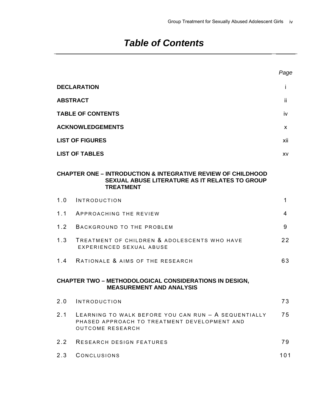## *Table of Contents*

|                 |                                                                                                                                                      | Page |
|-----------------|------------------------------------------------------------------------------------------------------------------------------------------------------|------|
|                 | <b>DECLARATION</b>                                                                                                                                   | Ť    |
| <b>ABSTRACT</b> |                                                                                                                                                      | -ii  |
|                 | <b>TABLE OF CONTENTS</b>                                                                                                                             | iv   |
|                 | <b>ACKNOWLEDGEMENTS</b>                                                                                                                              | X    |
|                 | <b>LIST OF FIGURES</b>                                                                                                                               | xii  |
|                 | <b>LIST OF TABLES</b>                                                                                                                                | XV   |
|                 | <b>CHAPTER ONE – INTRODUCTION &amp; INTEGRATIVE REVIEW OF CHILDHOOD</b><br><b>SEXUAL ABUSE LITERATURE AS IT RELATES TO GROUP</b><br><b>TREATMENT</b> |      |
| 1.0             | INTRODUCTION                                                                                                                                         | 1    |
| 1.1             | APPROACHING THE REVIEW                                                                                                                               | 4    |
| 1.2             | BACKGROUND TO THE PROBLEM                                                                                                                            | 9    |
| 1.3             | TREATMENT OF CHILDREN & ADOLESCENTS WHO HAVE<br>EXPERIENCED SEXUAL ABUSE                                                                             | 22   |
|                 | 1.4 RATIONALE & AIMS OF THE RESEARCH                                                                                                                 | 63   |
|                 | <b>CHAPTER TWO - METHODOLOGICAL CONSIDERATIONS IN DESIGN,</b><br><b>MEASUREMENT AND ANALYSIS</b>                                                     |      |
| 2.0             | INTRODUCTION                                                                                                                                         | 73   |
| 2.1             | LEARNING TO WALK BEFORE YOU CAN RUN - A SEQUENTIALLY<br>PHASED APPROACH TO TREATMENT DEVELOPMENT AND<br><b>OUTCOME RESEARCH</b>                      | 75   |
| 2.2             | <b>RESEARCH DESIGN FEATURES</b>                                                                                                                      | 79   |
| 2.3             | CONCLUSIONS                                                                                                                                          | 101  |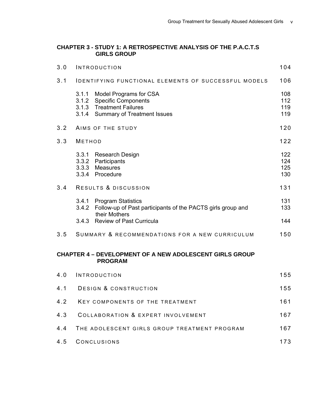#### **CHAPTER 3 - STUDY 1: A RETROSPECTIVE ANALYSIS OF THE P.A.C.T.S GIRLS GROUP**

| 3.0 | <b>INTRODUCTION</b>                                                                                                                               | 104                      |
|-----|---------------------------------------------------------------------------------------------------------------------------------------------------|--------------------------|
| 3.1 | IDENTIFYING FUNCTIONAL ELEMENTS OF SUCCESSFUL MODELS                                                                                              | 106                      |
|     | 3.1.1<br>Model Programs for CSA<br>3.1.2<br><b>Specific Components</b><br>3.1.3 Treatment Failures<br>3.1.4<br><b>Summary of Treatment Issues</b> | 108<br>112<br>119<br>119 |
| 3.2 | AIMS OF THE STUDY                                                                                                                                 | 120                      |
| 3.3 | <b>METHOD</b>                                                                                                                                     | 122                      |
|     | 3.3.1<br><b>Research Design</b><br>3.3.2<br>Participants<br>3.3.3<br>Measures<br>3.3.4<br>Procedure                                               | 122<br>124<br>125<br>130 |
| 3.4 | RESULTS & DISCUSSION                                                                                                                              | 131                      |
|     | 3.4.1<br><b>Program Statistics</b><br>3.4.2 Follow-up of Past participants of the PACTS girls group and<br>their Mothers                          | 131<br>133               |
|     | <b>Review of Past Curricula</b><br>3.4.3                                                                                                          | 144                      |
| 3.5 | SUMMARY & RECOMMENDATIONS FOR A NEW CURRICULUM                                                                                                    | 150                      |
|     | <b>CHAPTER 4 - DEVELOPMENT OF A NEW ADOLESCENT GIRLS GROUP</b><br><b>PROGRAM</b>                                                                  |                          |
| 4.0 | INTRODUCTION                                                                                                                                      | 155                      |
| 4.1 | DESIGN & CONSTRUCTION                                                                                                                             | 155                      |
| 4.2 | KEY COMPONENTS OF THE TREATMENT                                                                                                                   | 161                      |
| 4.3 | <b>COLLABORATION &amp; EXPERT INVOLVEMENT</b>                                                                                                     | 167                      |
| 4.4 | THE ADOLESCENT GIRLS GROUP TREATMENT PROGRAM                                                                                                      | 167                      |

| 4.5 CONCLUSIONS | 173 |
|-----------------|-----|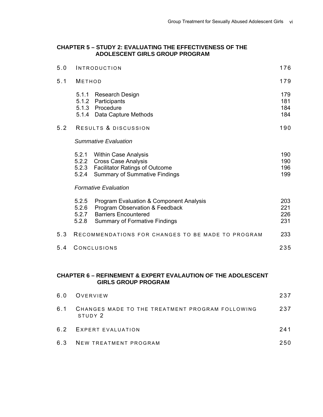#### **CHAPTER 5 – STUDY 2: EVALUATING THE EFFECTIVENESS OF THE ADOLESCENT GIRLS GROUP PROGRAM**

| 5.0 |                                  | INTRODUCTION                                                                                                                                     | 176                      |
|-----|----------------------------------|--------------------------------------------------------------------------------------------------------------------------------------------------|--------------------------|
| 5.1 | <b>METHOD</b>                    |                                                                                                                                                  | 179                      |
|     | 5.1.1                            | <b>Research Design</b><br>5.1.2 Participants<br>5.1.3 Procedure<br>5.1.4 Data Capture Methods                                                    | 179<br>181<br>184<br>184 |
| 5.2 |                                  | RESULTS & DISCUSSION                                                                                                                             | 190                      |
|     |                                  | Summative Evaluation                                                                                                                             |                          |
|     | 5.2.2<br>5.2.3<br>5.2.4          | 5.2.1 Within Case Analysis<br><b>Cross Case Analysis</b><br><b>Facilitator Ratings of Outcome</b><br><b>Summary of Summative Findings</b>        | 190<br>190<br>196<br>199 |
|     |                                  | <b>Formative Evaluation</b>                                                                                                                      |                          |
|     | 5.2.5<br>5.2.6<br>5.2.7<br>5.2.8 | Program Evaluation & Component Analysis<br>Program Observation & Feedback<br><b>Barriers Encountered</b><br><b>Summary of Formative Findings</b> | 203<br>221<br>226<br>231 |
| 5.3 |                                  | RECOMMENDATIONS FOR CHANGES TO BE MADE TO PROGRAM                                                                                                | 233                      |
| 5.4 |                                  | CONCLUSIONS                                                                                                                                      | 235                      |

#### **CHAPTER 6 – REFINEMENT & EXPERT EVALAUTION OF THE ADOLESCENT GIRLS GROUP PROGRAM**

| 6.0 OVERVIEW                                                   | 237 |
|----------------------------------------------------------------|-----|
| 6.1 CHANGES MADE TO THE TREATMENT PROGRAM FOLLOWING<br>STUDY 2 | 237 |
| 6.2 EXPERT EVALUATION                                          | 241 |
| 6.3 NEW TREATMENT PROGRAM                                      | 250 |
|                                                                |     |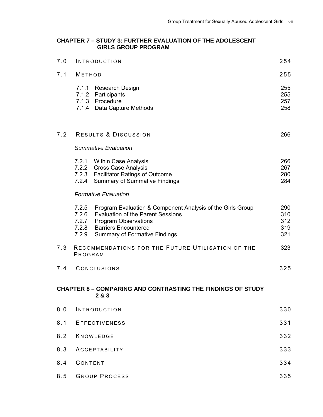#### **CHAPTER 7 – STUDY 3: FURTHER EVALUATION OF THE ADOLESCENT GIRLS GROUP PROGRAM**

| 7.0 |                                           | <b>INTRODUCTION</b>                                                                                                                                                                                          | 254                             |
|-----|-------------------------------------------|--------------------------------------------------------------------------------------------------------------------------------------------------------------------------------------------------------------|---------------------------------|
| 7.1 | <b>METHOD</b>                             |                                                                                                                                                                                                              | 255                             |
|     |                                           | 7.1.1 Research Design<br>7.1.2 Participants<br>7.1.3 Procedure<br>7.1.4 Data Capture Methods                                                                                                                 | 255<br>255<br>257<br>258        |
| 7.2 |                                           | RESULTS & DISCUSSION                                                                                                                                                                                         | 266                             |
|     |                                           | <b>Summative Evaluation</b>                                                                                                                                                                                  |                                 |
|     | 7.2.4                                     | 7.2.1 Within Case Analysis<br>7.2.2 Cross Case Analysis<br>7.2.3 Facilitator Ratings of Outcome<br><b>Summary of Summative Findings</b>                                                                      | 266<br>267<br>280<br>284        |
|     |                                           | <b>Formative Evaluation</b>                                                                                                                                                                                  |                                 |
|     | 7.2.5<br>7.2.6<br>7.2.7<br>7.2.8<br>7.2.9 | Program Evaluation & Component Analysis of the Girls Group<br><b>Evaluation of the Parent Sessions</b><br><b>Program Observations</b><br><b>Barriers Encountered</b><br><b>Summary of Formative Findings</b> | 290<br>310<br>312<br>319<br>321 |
| 7.3 | PROGRAM                                   | RECOMMENDATIONS FOR THE FUTURE UTILISATION OF THE                                                                                                                                                            | 323                             |
| 7.4 |                                           | CONCLUSIONS                                                                                                                                                                                                  | 325                             |
|     |                                           | <b>CHAPTER 8 - COMPARING AND CONTRASTING THE FINDINGS OF STUDY</b><br>2 & 3                                                                                                                                  |                                 |
| 8.0 |                                           | <b>INTRODUCTION</b>                                                                                                                                                                                          | 330                             |
| 8.1 |                                           | <b>EFFECTIVENESS</b>                                                                                                                                                                                         | 331                             |
| 8.2 |                                           | KNOWLEDGE                                                                                                                                                                                                    | 332                             |
| 8.3 |                                           | ACCEPTABILITY                                                                                                                                                                                                | 333                             |
| 8.4 | CONTENT                                   |                                                                                                                                                                                                              | 334                             |
| 8.5 |                                           | <b>GROUP PROCESS</b>                                                                                                                                                                                         | 335                             |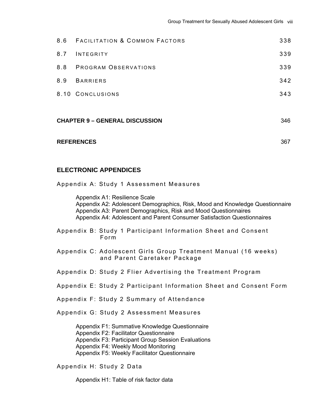|                                       | 8.6 FACILITATION & COMMON FACTORS | 338 |
|---------------------------------------|-----------------------------------|-----|
| 8.7                                   | INTEGRITY                         | 339 |
|                                       | 8.8 PROGRAM OBSERVATIONS          | 339 |
| 8.9                                   | <b>BARRIERS</b>                   | 342 |
|                                       | 8.10 CONCLUSIONS                  | 343 |
|                                       |                                   |     |
| <b>CHAPTER 9 - GENERAL DISCUSSION</b> |                                   | 346 |
|                                       |                                   |     |
| <b>REFERENCES</b>                     |                                   | 367 |

#### **ELECTRONIC APPENDICES**

Appendix A: Study 1 Assessment Measures

 Appendix A1: Resilience Scale Appendix A2: Adolescent Demographics, Risk, Mood and Knowledge Questionnaire Appendix A3: Parent Demographics, Risk and Mood Questionnaires Appendix A4: Adolescent and Parent Consumer Satisfaction Questionnaires

Appendix B: Study 1 Participant Information Sheet and Consent Form

- Appendix C: Adolescent Girls Group Treatment Manual (16 weeks) and Parent Caretaker Package
- Appendix D: Study 2 Flier Advertising the Treatment Program
- Appendix E: Study 2 Participant Information Sheet and Consent Form

Appendix F: Study 2 Summary of Attendance

Appendix G: Study 2 Assessment Measures

Appendix F1: Summative Knowledge Questionnaire Appendix F2: Facilitator Questionnaire Appendix F3: Participant Group Session Evaluations Appendix F4: Weekly Mood Monitoring Appendix F5: Weekly Facilitator Questionnaire

Appendix H: Study 2 Data

Appendix H1: Table of risk factor data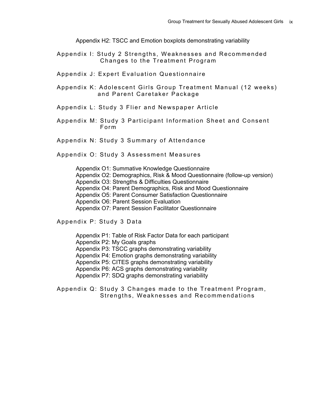Appendix H2: TSCC and Emotion boxplots demonstrating variability

- Appendix I: Study 2 Strengths, Weaknesses and Recommended Changes to the Treatment Program
- Appendix J: Expert Evaluation Questionnaire
- Appendix K: Adolescent Girls Group Treatment Manual (12 weeks) and Parent Caretaker Package
- Appendix L: Study 3 Flier and Newspaper Article
- Appendix M: Study 3 Participant Information Sheet and Consent Form

Appendix N: Study 3 Summary of Attendance

Appendix O: Study 3 Assessment Measures

Appendix O1: Summative Knowledge Questionnaire Appendix O2: Demographics, Risk & Mood Questionnaire (follow-up version) Appendix O3: Strengths & Difficulties Questionnaire Appendix O4: Parent Demographics, Risk and Mood Questionnaire Appendix O5: Parent Consumer Satisfaction Questionnaire Appendix O6: Parent Session Evaluation Appendix O7: Parent Session Facilitator Questionnaire

Appendix P: Study 3 Data

Appendix P1: Table of Risk Factor Data for each participant Appendix P2: My Goals graphs Appendix P3: TSCC graphs demonstrating variability Appendix P4: Emotion graphs demonstrating variability Appendix P5: CITES graphs demonstrating variability Appendix P6: ACS graphs demonstrating variability Appendix P7: SDQ graphs demonstrating variability

Appendix Q: Study 3 Changes made to the Treatment Program, Strengths, Weaknesses and Recommendations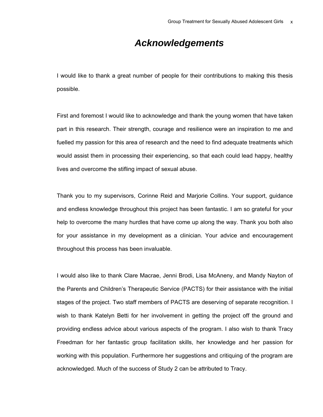### *Acknowledgements*

I would like to thank a great number of people for their contributions to making this thesis possible.

First and foremost I would like to acknowledge and thank the young women that have taken part in this research. Their strength, courage and resilience were an inspiration to me and fuelled my passion for this area of research and the need to find adequate treatments which would assist them in processing their experiencing, so that each could lead happy, healthy lives and overcome the stifling impact of sexual abuse.

Thank you to my supervisors, Corinne Reid and Marjorie Collins. Your support, guidance and endless knowledge throughout this project has been fantastic. I am so grateful for your help to overcome the many hurdles that have come up along the way. Thank you both also for your assistance in my development as a clinician. Your advice and encouragement throughout this process has been invaluable.

I would also like to thank Clare Macrae, Jenni Brodi, Lisa McAneny, and Mandy Nayton of the Parents and Children's Therapeutic Service (PACTS) for their assistance with the initial stages of the project. Two staff members of PACTS are deserving of separate recognition. I wish to thank Katelyn Betti for her involvement in getting the project off the ground and providing endless advice about various aspects of the program. I also wish to thank Tracy Freedman for her fantastic group facilitation skills, her knowledge and her passion for working with this population. Furthermore her suggestions and critiquing of the program are acknowledged. Much of the success of Study 2 can be attributed to Tracy.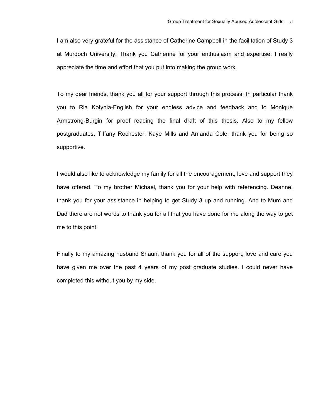I am also very grateful for the assistance of Catherine Campbell in the facilitation of Study 3 at Murdoch University. Thank you Catherine for your enthusiasm and expertise. I really appreciate the time and effort that you put into making the group work.

To my dear friends, thank you all for your support through this process. In particular thank you to Ria Kotynia-English for your endless advice and feedback and to Monique Armstrong-Burgin for proof reading the final draft of this thesis. Also to my fellow postgraduates, Tiffany Rochester, Kaye Mills and Amanda Cole, thank you for being so supportive.

I would also like to acknowledge my family for all the encouragement, love and support they have offered. To my brother Michael, thank you for your help with referencing. Deanne, thank you for your assistance in helping to get Study 3 up and running. And to Mum and Dad there are not words to thank you for all that you have done for me along the way to get me to this point.

Finally to my amazing husband Shaun, thank you for all of the support, love and care you have given me over the past 4 years of my post graduate studies. I could never have completed this without you by my side.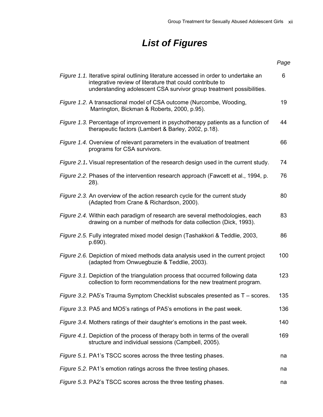## *List of Figures*

|                                                                                                                                                                                                                                 | Page |
|---------------------------------------------------------------------------------------------------------------------------------------------------------------------------------------------------------------------------------|------|
| <i>Figure 1.1.</i> Iterative spiral outlining literature accessed in order to undertake an<br>integrative review of literature that could contribute to<br>understanding adolescent CSA survivor group treatment possibilities. | 6    |
| Figure 1.2. A transactional model of CSA outcome (Nurcombe, Wooding,<br>Marrington, Bickman & Roberts, 2000, p.95).                                                                                                             | 19   |
| <i>Figure 1.3.</i> Percentage of improvement in psychotherapy patients as a function of<br>therapeutic factors (Lambert & Barley, 2002, p.18).                                                                                  | 44   |
| Figure 1.4. Overview of relevant parameters in the evaluation of treatment<br>programs for CSA survivors.                                                                                                                       | 66   |
| Figure 2.1. Visual representation of the research design used in the current study.                                                                                                                                             | 74   |
| Figure 2.2. Phases of the intervention research approach (Fawcett et al., 1994, p.<br>$28$ ).                                                                                                                                   | 76   |
| Figure 2.3. An overview of the action research cycle for the current study<br>(Adapted from Crane & Richardson, 2000).                                                                                                          | 80   |
| Figure 2.4. Within each paradigm of research are several methodologies, each<br>drawing on a number of methods for data collection (Dick, 1993).                                                                                | 83   |
| Figure 2.5. Fully integrated mixed model design (Tashakkori & Teddlie, 2003,<br>p.690).                                                                                                                                         | 86   |
| <i>Figure 2.6.</i> Depiction of mixed methods data analysis used in the current project<br>(adapted from Onwuegbuzie & Teddlie, 2003).                                                                                          | 100  |
| Figure 3.1. Depiction of the triangulation process that occurred following data<br>collection to form recommendations for the new treatment program.                                                                            | 123  |
| Figure 3.2. PA5's Trauma Symptom Checklist subscales presented as T - scores.                                                                                                                                                   | 135  |
| Figure 3.3. PA5 and MO5's ratings of PA5's emotions in the past week.                                                                                                                                                           | 136  |
| Figure 3.4. Mothers ratings of their daughter's emotions in the past week.                                                                                                                                                      | 140  |
| Figure 4.1. Depiction of the process of therapy both in terms of the overall<br>structure and individual sessions (Campbell, 2005).                                                                                             | 169  |
| Figure 5.1. PA1's TSCC scores across the three testing phases.                                                                                                                                                                  | na   |
| Figure 5.2. PA1's emotion ratings across the three testing phases.                                                                                                                                                              | na   |
| Figure 5.3. PA2's TSCC scores across the three testing phases.                                                                                                                                                                  | na   |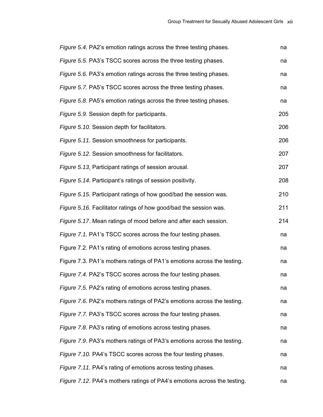| Figure 5.4. PA2's emotion ratings across the three testing phases.       | na  |
|--------------------------------------------------------------------------|-----|
| Figure 5.5. PA3's TSCC scores across the three testing phases.           | na  |
| Figure 5.6. PA3's emotion ratings across the three testing phases.       | na  |
| Figure 5.7. PA5's TSCC scores across the three testing phases.           | na  |
| Figure 5.8. PA5's emotion ratings across the three testing phases.       | na  |
| Figure 5.9. Session depth for participants.                              | 205 |
| Figure 5.10. Session depth for facilitators.                             | 206 |
| Figure 5.11. Session smoothness for participants.                        | 206 |
| Figure 5.12. Session smoothness for facilitators.                        | 207 |
| Figure 5.13. Participant ratings of session arousal.                     | 207 |
| Figure 5.14. Participant's ratings of session positivity.                | 208 |
| Figure 5.15. Participant ratings of how good/bad the session was.        | 210 |
| Figure 5.16. Facilitator ratings of how good/bad the session was.        | 211 |
| Figure 5.17. Mean ratings of mood before and after each session.         | 214 |
| Figure 7.1. PA1's TSCC scores across the four testing phases.            | na  |
| Figure 7.2. PA1's rating of emotions across testing phases.              | na  |
| Figure 7.3. PA1's mothers ratings of PA1's emotions across the testing.  | na  |
| Figure 7.4. PA2's TSCC scores across the four testing phases.            | na  |
| Figure 7.5. PA2's rating of emotions across testing phases.              | na  |
| Figure 7.6. PA2's mothers ratings of PA2's emotions across the testing.  | na  |
| Figure 7.7. PA3's TSCC scores across the four testing phases.            | na  |
| Figure 7.8. PA3's rating of emotions across testing phases.              | na  |
| Figure 7.9. PA3's mothers ratings of PA3's emotions across the testing.  | na  |
| Figure 7.10. PA4's TSCC scores across the four testing phases.           | na  |
| Figure 7.11. PA4's rating of emotions across testing phases.             | na  |
| Figure 7.12. PA4's mothers ratings of PA4's emotions across the testing. | na  |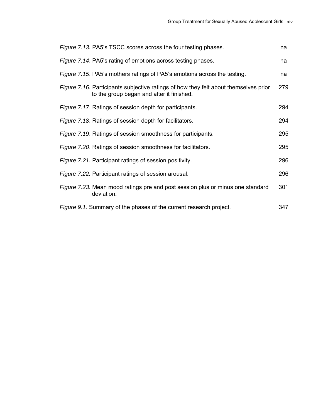| Figure 7.13. PA5's TSCC scores across the four testing phases.                                                                           | na  |
|------------------------------------------------------------------------------------------------------------------------------------------|-----|
| Figure 7.14. PA5's rating of emotions across testing phases.                                                                             | na  |
| Figure 7.15. PA5's mothers ratings of PA5's emotions across the testing.                                                                 | na  |
| <i>Figure 7.16.</i> Participants subjective ratings of how they felt about themselves prior<br>to the group began and after it finished. | 279 |
| Figure 7.17. Ratings of session depth for participants.                                                                                  | 294 |
| Figure 7.18. Ratings of session depth for facilitators.                                                                                  | 294 |
| Figure 7.19. Ratings of session smoothness for participants.                                                                             | 295 |
| Figure 7.20. Ratings of session smoothness for facilitators.                                                                             | 295 |
| Figure 7.21. Participant ratings of session positivity.                                                                                  | 296 |
| Figure 7.22. Participant ratings of session arousal.                                                                                     | 296 |
| Figure 7.23. Mean mood ratings pre and post session plus or minus one standard<br>deviation.                                             | 301 |
| Figure 9.1. Summary of the phases of the current research project.                                                                       | 347 |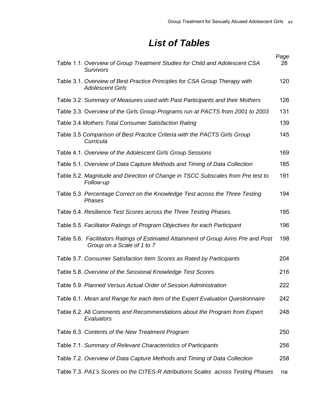### *List of Tables*

|                                                                                                                  | Page |
|------------------------------------------------------------------------------------------------------------------|------|
| Table 1.1. Overview of Group Treatment Studies for Child and Adolescent CSA<br><b>Survivors</b>                  | 28   |
| Table 3.1. Overview of Best Practice Principles for CSA Group Therapy with<br><b>Adolescent Girls</b>            | 120  |
| Table 3.2. Summary of Measures used with Past Participants and their Mothers                                     | 126  |
| Table 3.3. Overview of the Girls Group Programs run at PACTS from 2001 to 2003                                   | 131  |
| Table 3.4 Mothers Total Consumer Satisfaction Rating                                                             | 139  |
| Table 3.5 Comparison of Best Practice Criteria with the PACTS Girls Group<br>Curricula                           | 145  |
| Table 4.1. Overview of the Adolescent Girls Group Sessions                                                       | 169  |
| Table 5.1. Overview of Data Capture Methods and Timing of Data Collection                                        | 185  |
| Table 5.2. Magnitude and Direction of Change in TSCC Subscales from Pre test to<br>Follow-up                     | 191  |
| Table 5.3. Percentage Correct on the Knowledge Test across the Three Testing<br>Phases                           | 194  |
| Table 5.4. Resilience Test Scores across the Three Testing Phases.                                               | 195  |
| Table 5.5. Facilitator Ratings of Program Objectives for each Participant                                        | 196  |
| Table 5.6. Facilitators Ratings of Estimated Attainment of Group Aims Pre and Post<br>Group on a Scale of 1 to 7 | 198  |
| Table 5.7. Consumer Satisfaction Item Scores as Rated by Participants                                            | 204  |
| Table 5.8. Overview of the Sessional Knowledge Test Scores                                                       | 216  |
| Table 5.9. Planned Versus Actual Order of Session Administration                                                 | 222  |
| Table 6.1. Mean and Range for each item of the Expert Evaluation Questionnaire                                   | 242  |
| Table 6.2. All Comments and Recommendations about the Program from Expert<br>Evaluators                          | 248  |
| Table 6.3. Contents of the New Treatment Program                                                                 | 250  |
| Table 7.1. Summary of Relevant Characteristics of Participants                                                   | 256  |
| Table 7.2. Overview of Data Capture Methods and Timing of Data Collection                                        | 258  |
| Table 7.3. PA1's Scores on the CITES-R Attributions Scales across Testing Phases                                 | na   |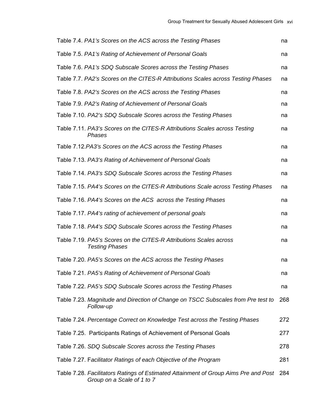| Table 7.4. PA1's Scores on the ACS across the Testing Phases                                                      | na  |
|-------------------------------------------------------------------------------------------------------------------|-----|
| Table 7.5. PA1's Rating of Achievement of Personal Goals                                                          | na  |
| Table 7.6. PA1's SDQ Subscale Scores across the Testing Phases                                                    | na  |
| Table 7.7. PA2's Scores on the CITES-R Attributions Scales across Testing Phases                                  | na  |
| Table 7.8. PA2's Scores on the ACS across the Testing Phases                                                      | na  |
| Table 7.9. PA2's Rating of Achievement of Personal Goals                                                          | na  |
| Table 7.10. PA2's SDQ Subscale Scores across the Testing Phases                                                   | na  |
| Table 7.11. PA3's Scores on the CITES-R Attributions Scales across Testing<br>Phases                              | na  |
| Table 7.12. PA3's Scores on the ACS across the Testing Phases                                                     | na  |
| Table 7.13. PA3's Rating of Achievement of Personal Goals                                                         | na  |
| Table 7.14. PA3's SDQ Subscale Scores across the Testing Phases                                                   | na  |
| Table 7.15. PA4's Scores on the CITES-R Attributions Scale across Testing Phases                                  | na  |
| Table 7.16. PA4's Scores on the ACS across the Testing Phases                                                     | na  |
| Table 7.17. PA4's rating of achievement of personal goals                                                         | na  |
| Table 7.18. PA4's SDQ Subscale Scores across the Testing Phases                                                   | na  |
| Table 7.19. PA5's Scores on the CITES-R Attributions Scales across<br><b>Testing Phases</b>                       | na  |
| Table 7.20. PA5's Scores on the ACS across the Testing Phases                                                     | na  |
| Table 7.21. PA5's Rating of Achievement of Personal Goals                                                         | na  |
| Table 7.22. PA5's SDQ Subscale Scores across the Testing Phases                                                   | na  |
| Table 7.23. Magnitude and Direction of Change on TSCC Subscales from Pre test to<br>Follow-up                     | 268 |
| Table 7.24. Percentage Correct on Knowledge Test across the Testing Phases                                        | 272 |
| Table 7.25. Participants Ratings of Achievement of Personal Goals                                                 | 277 |
| Table 7.26. SDQ Subscale Scores across the Testing Phases                                                         | 278 |
| Table 7.27. Facilitator Ratings of each Objective of the Program                                                  | 281 |
| Table 7.28. Facilitators Ratings of Estimated Attainment of Group Aims Pre and Post<br>Group on a Scale of 1 to 7 | 284 |